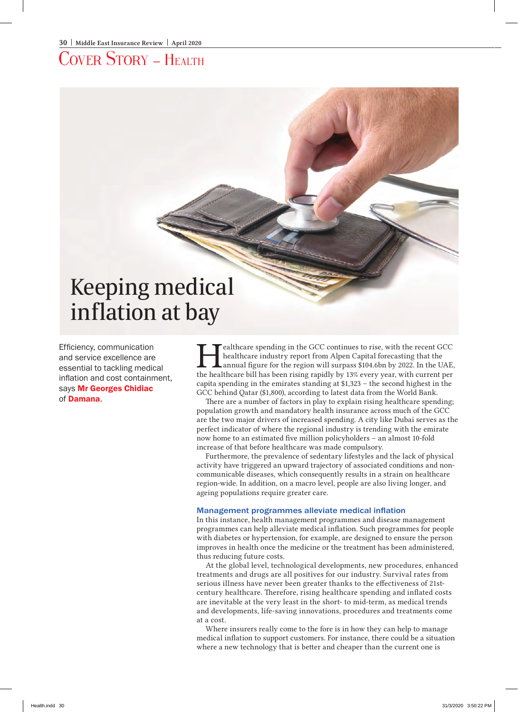### Cover Story – Health

## Keeping medical inflation at bay

Efficiency, communication and service excellence are essential to tackling medical inflation and cost containment, says Mr Georges Chidiac of Damana.

Fealthcare spending in the GCC continues to rise, with the recent GCC<br>
healthcare industry report from Alpen Capital forecasting that the<br>
annual figure for the region will surpass \$104.6bn by 2022. In the UAE,<br>
the health healthcare industry report from Alpen Capital forecasting that the the healthcare bill has been rising rapidly by 13% every year, with current per capita spending in the emirates standing at \$1,323 – the second highest in the GCC behind Qatar (\$1,800), according to latest data from the World Bank.

There are a number of factors in play to explain rising healthcare spending; population growth and mandatory health insurance across much of the GCC are the two major drivers of increased spending. A city like Dubai serves as the perfect indicator of where the regional industry is trending with the emirate now home to an estimated five million policyholders – an almost 10-fold increase of that before healthcare was made compulsory.

Furthermore, the prevalence of sedentary lifestyles and the lack of physical activity have triggered an upward trajectory of associated conditions and noncommunicable diseases, which consequently results in a strain on healthcare region-wide. In addition, on a macro level, people are also living longer, and ageing populations require greater care.

#### Management programmes alleviate medical inflation

In this instance, health management programmes and disease management programmes can help alleviate medical inflation. Such programmes for people with diabetes or hypertension, for example, are designed to ensure the person improves in health once the medicine or the treatment has been administered, thus reducing future costs.

At the global level, technological developments, new procedures, enhanced treatments and drugs are all positives for our industry. Survival rates from serious illness have never been greater thanks to the effectiveness of 21stcentury healthcare. Therefore, rising healthcare spending and inflated costs are inevitable at the very least in the short- to mid-term, as medical trends and developments, life-saving innovations, procedures and treatments come at a cost.

Where insurers really come to the fore is in how they can help to manage medical inflation to support customers. For instance, there could be a situation where a new technology that is better and cheaper than the current one is